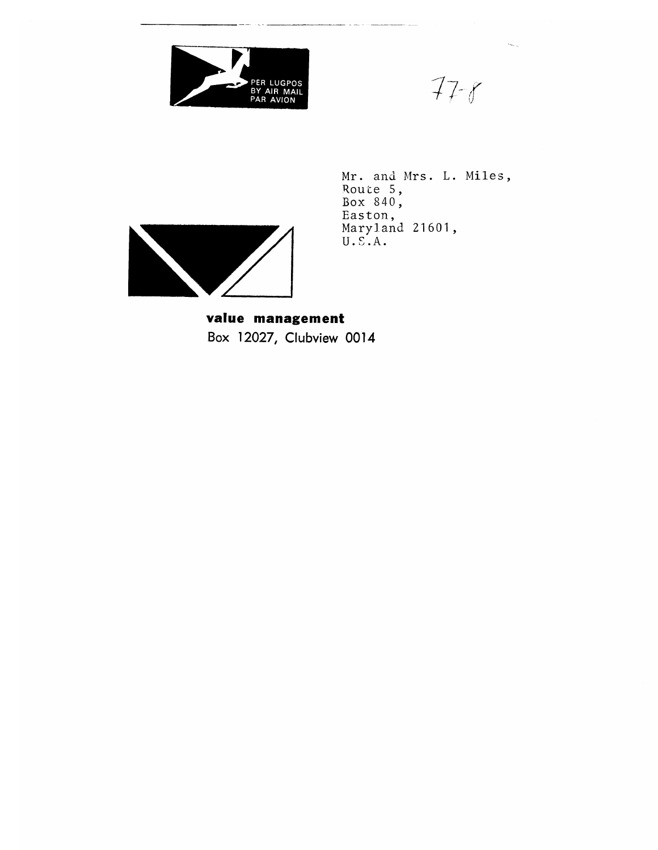

 $77 - 8$ 

Mr. and Mrs. L. Miles,<br>Route 5,<br>Box 840,<br>Easton,<br>Maryland 21601,<br>U.S.A.



value management Box 12027, Clubview 0014